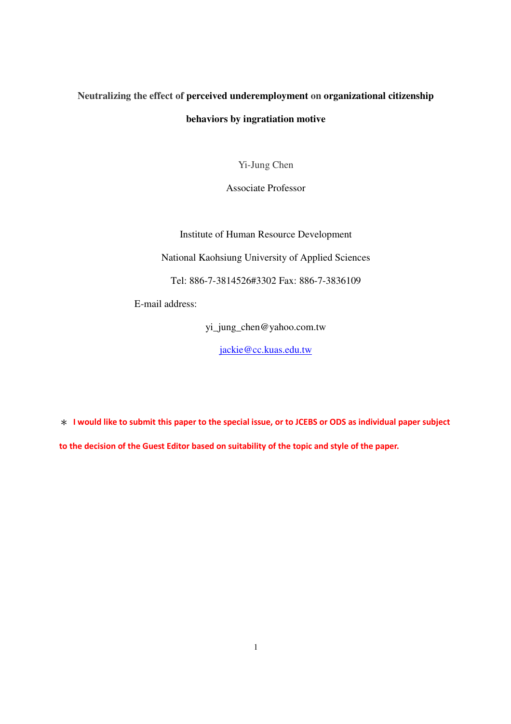# **Neutralizing the effect of perceived underemployment on organizational citizenship behaviors by ingratiation motive**

Yi-Jung Chen

Associate Professor

Institute of Human Resource Development

National Kaohsiung University of Applied Sciences

Tel: 886-7-3814526#3302 Fax: 886-7-3836109

E-mail address:

yi\_jung\_chen@yahoo.com.tw

jackie@cc.kuas.edu.tw

\* I would like to submit this paper to the special issue, or to JCEBS or ODS as individual paper subject to the decision of the Guest Editor based on suitability of the topic and style of the paper.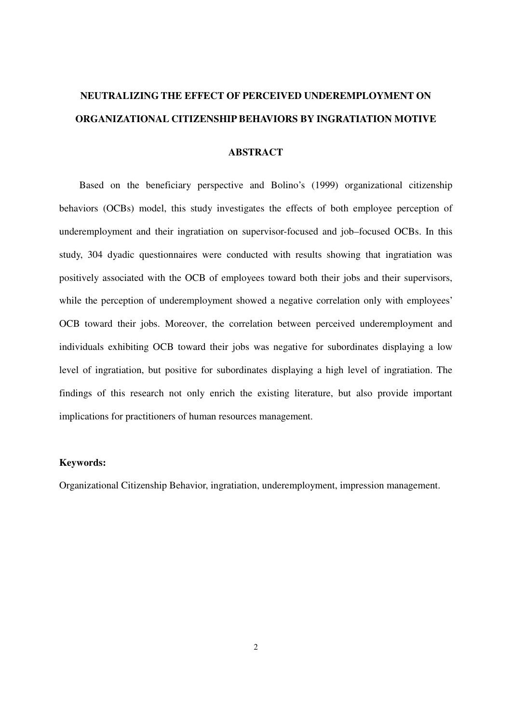# **NEUTRALIZING THE EFFECT OF PERCEIVED UNDEREMPLOYMENT ON ORGANIZATIONAL CITIZENSHIP BEHAVIORS BY INGRATIATION MOTIVE**

#### **ABSTRACT**

Based on the beneficiary perspective and Bolino's (1999) organizational citizenship behaviors (OCBs) model, this study investigates the effects of both employee perception of underemployment and their ingratiation on supervisor-focused and job–focused OCBs. In this study, 304 dyadic questionnaires were conducted with results showing that ingratiation was positively associated with the OCB of employees toward both their jobs and their supervisors, while the perception of underemployment showed a negative correlation only with employees' OCB toward their jobs. Moreover, the correlation between perceived underemployment and individuals exhibiting OCB toward their jobs was negative for subordinates displaying a low level of ingratiation, but positive for subordinates displaying a high level of ingratiation. The findings of this research not only enrich the existing literature, but also provide important implications for practitioners of human resources management.

#### **Keywords:**

Organizational Citizenship Behavior, ingratiation, underemployment, impression management.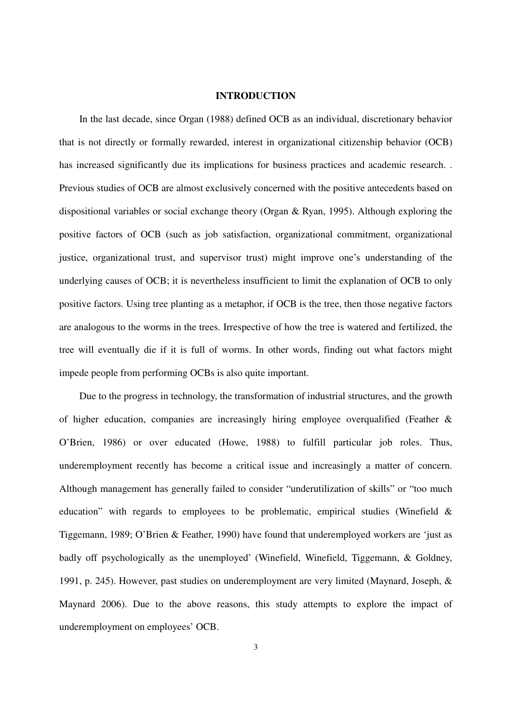#### **INTRODUCTION**

In the last decade, since Organ (1988) defined OCB as an individual, discretionary behavior that is not directly or formally rewarded, interest in organizational citizenship behavior (OCB) has increased significantly due its implications for business practices and academic research. . Previous studies of OCB are almost exclusively concerned with the positive antecedents based on dispositional variables or social exchange theory (Organ & Ryan, 1995). Although exploring the positive factors of OCB (such as job satisfaction, organizational commitment, organizational justice, organizational trust, and supervisor trust) might improve one's understanding of the underlying causes of OCB; it is nevertheless insufficient to limit the explanation of OCB to only positive factors. Using tree planting as a metaphor, if OCB is the tree, then those negative factors are analogous to the worms in the trees. Irrespective of how the tree is watered and fertilized, the tree will eventually die if it is full of worms. In other words, finding out what factors might impede people from performing OCBs is also quite important.

Due to the progress in technology, the transformation of industrial structures, and the growth of higher education, companies are increasingly hiring employee overqualified (Feather & O'Brien, 1986) or over educated (Howe, 1988) to fulfill particular job roles. Thus, underemployment recently has become a critical issue and increasingly a matter of concern. Although management has generally failed to consider "underutilization of skills" or "too much education" with regards to employees to be problematic, empirical studies (Winefield & Tiggemann, 1989; O'Brien & Feather, 1990) have found that underemployed workers are 'just as badly off psychologically as the unemployed' (Winefield, Winefield, Tiggemann, & Goldney, 1991, p. 245). However, past studies on underemployment are very limited (Maynard, Joseph, & Maynard 2006). Due to the above reasons, this study attempts to explore the impact of underemployment on employees' OCB.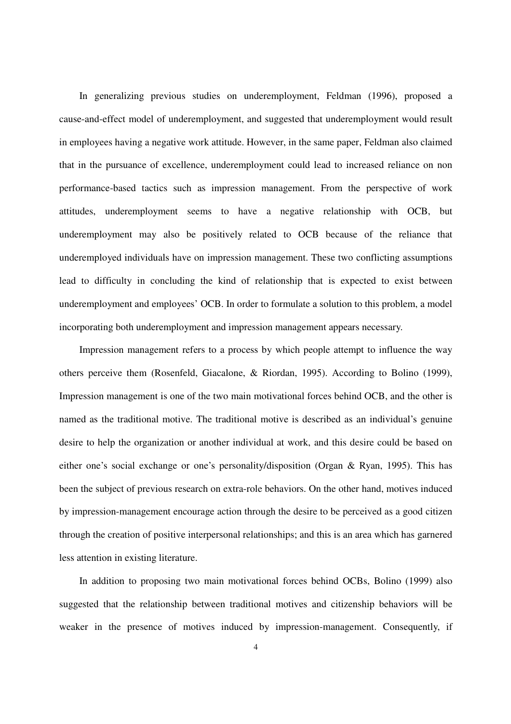In generalizing previous studies on underemployment, Feldman (1996), proposed a cause-and-effect model of underemployment, and suggested that underemployment would result in employees having a negative work attitude. However, in the same paper, Feldman also claimed that in the pursuance of excellence, underemployment could lead to increased reliance on non performance-based tactics such as impression management. From the perspective of work attitudes, underemployment seems to have a negative relationship with OCB, but underemployment may also be positively related to OCB because of the reliance that underemployed individuals have on impression management. These two conflicting assumptions lead to difficulty in concluding the kind of relationship that is expected to exist between underemployment and employees' OCB. In order to formulate a solution to this problem, a model incorporating both underemployment and impression management appears necessary.

Impression management refers to a process by which people attempt to influence the way others perceive them (Rosenfeld, Giacalone, & Riordan, 1995). According to Bolino (1999), Impression management is one of the two main motivational forces behind OCB, and the other is named as the traditional motive. The traditional motive is described as an individual's genuine desire to help the organization or another individual at work, and this desire could be based on either one's social exchange or one's personality/disposition (Organ & Ryan, 1995). This has been the subject of previous research on extra-role behaviors. On the other hand, motives induced by impression-management encourage action through the desire to be perceived as a good citizen through the creation of positive interpersonal relationships; and this is an area which has garnered less attention in existing literature.

In addition to proposing two main motivational forces behind OCBs, Bolino (1999) also suggested that the relationship between traditional motives and citizenship behaviors will be weaker in the presence of motives induced by impression-management. Consequently, if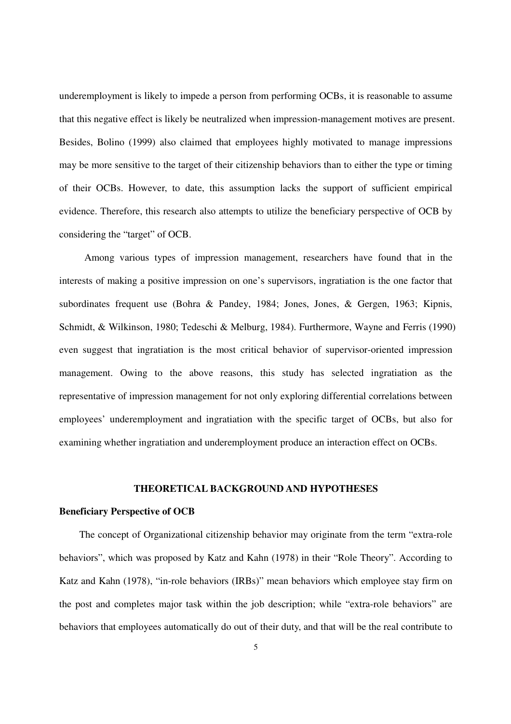underemployment is likely to impede a person from performing OCBs, it is reasonable to assume that this negative effect is likely be neutralized when impression-management motives are present. Besides, Bolino (1999) also claimed that employees highly motivated to manage impressions may be more sensitive to the target of their citizenship behaviors than to either the type or timing of their OCBs. However, to date, this assumption lacks the support of sufficient empirical evidence. Therefore, this research also attempts to utilize the beneficiary perspective of OCB by considering the "target" of OCB.

Among various types of impression management, researchers have found that in the interests of making a positive impression on one's supervisors, ingratiation is the one factor that subordinates frequent use (Bohra & Pandey, 1984; Jones, Jones, & Gergen, 1963; Kipnis, Schmidt, & Wilkinson, 1980; Tedeschi & Melburg, 1984). Furthermore, Wayne and Ferris (1990) even suggest that ingratiation is the most critical behavior of supervisor-oriented impression management. Owing to the above reasons, this study has selected ingratiation as the representative of impression management for not only exploring differential correlations between employees' underemployment and ingratiation with the specific target of OCBs, but also for examining whether ingratiation and underemployment produce an interaction effect on OCBs.

### **THEORETICAL BACKGROUND AND HYPOTHESES**

#### **Beneficiary Perspective of OCB**

The concept of Organizational citizenship behavior may originate from the term "extra-role behaviors", which was proposed by Katz and Kahn (1978) in their "Role Theory". According to Katz and Kahn (1978), "in-role behaviors (IRBs)" mean behaviors which employee stay firm on the post and completes major task within the job description; while "extra-role behaviors" are behaviors that employees automatically do out of their duty, and that will be the real contribute to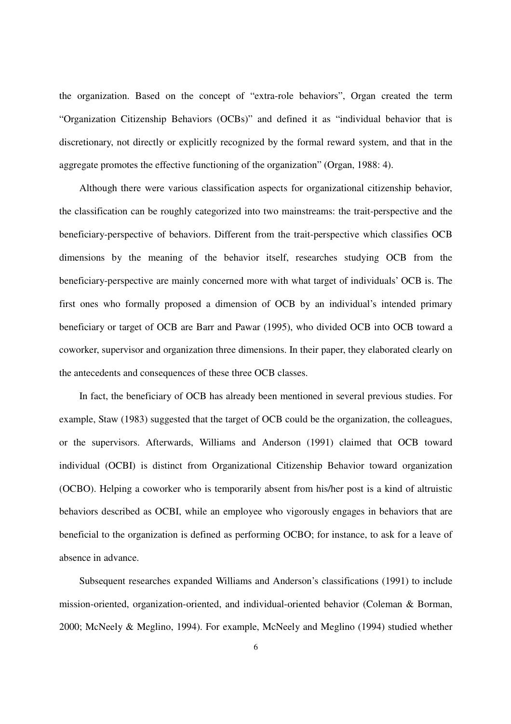the organization. Based on the concept of "extra-role behaviors", Organ created the term "Organization Citizenship Behaviors (OCBs)" and defined it as "individual behavior that is discretionary, not directly or explicitly recognized by the formal reward system, and that in the aggregate promotes the effective functioning of the organization" (Organ, 1988: 4).

Although there were various classification aspects for organizational citizenship behavior, the classification can be roughly categorized into two mainstreams: the trait-perspective and the beneficiary-perspective of behaviors. Different from the trait-perspective which classifies OCB dimensions by the meaning of the behavior itself, researches studying OCB from the beneficiary-perspective are mainly concerned more with what target of individuals' OCB is. The first ones who formally proposed a dimension of OCB by an individual's intended primary beneficiary or target of OCB are Barr and Pawar (1995), who divided OCB into OCB toward a coworker, supervisor and organization three dimensions. In their paper, they elaborated clearly on the antecedents and consequences of these three OCB classes.

In fact, the beneficiary of OCB has already been mentioned in several previous studies. For example, Staw (1983) suggested that the target of OCB could be the organization, the colleagues, or the supervisors. Afterwards, Williams and Anderson (1991) claimed that OCB toward individual (OCBI) is distinct from Organizational Citizenship Behavior toward organization (OCBO). Helping a coworker who is temporarily absent from his/her post is a kind of altruistic behaviors described as OCBI, while an employee who vigorously engages in behaviors that are beneficial to the organization is defined as performing OCBO; for instance, to ask for a leave of absence in advance.

Subsequent researches expanded Williams and Anderson's classifications (1991) to include mission-oriented, organization-oriented, and individual-oriented behavior (Coleman & Borman, 2000; McNeely & Meglino, 1994). For example, McNeely and Meglino (1994) studied whether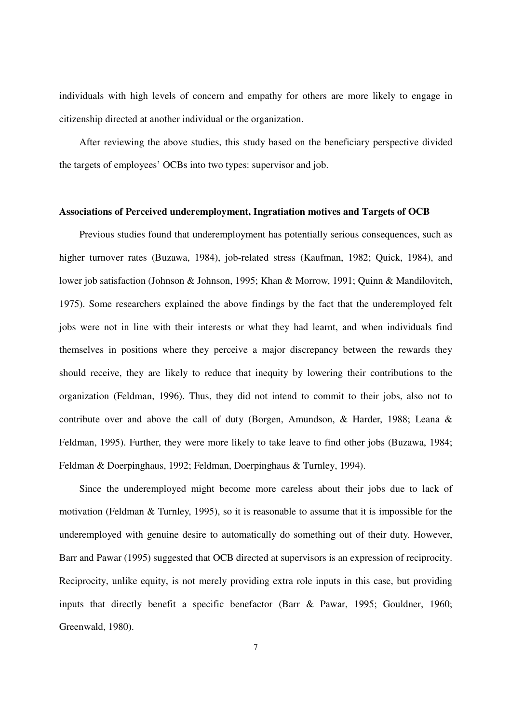individuals with high levels of concern and empathy for others are more likely to engage in citizenship directed at another individual or the organization.

After reviewing the above studies, this study based on the beneficiary perspective divided the targets of employees' OCBs into two types: supervisor and job.

#### **Associations of Perceived underemployment, Ingratiation motives and Targets of OCB**

Previous studies found that underemployment has potentially serious consequences, such as higher turnover rates (Buzawa, 1984), job-related stress (Kaufman, 1982; Quick, 1984), and lower job satisfaction (Johnson & Johnson, 1995; Khan & Morrow, 1991; Quinn & Mandilovitch, 1975). Some researchers explained the above findings by the fact that the underemployed felt jobs were not in line with their interests or what they had learnt, and when individuals find themselves in positions where they perceive a major discrepancy between the rewards they should receive, they are likely to reduce that inequity by lowering their contributions to the organization (Feldman, 1996). Thus, they did not intend to commit to their jobs, also not to contribute over and above the call of duty (Borgen, Amundson, & Harder, 1988; Leana & Feldman, 1995). Further, they were more likely to take leave to find other jobs (Buzawa, 1984; Feldman & Doerpinghaus, 1992; Feldman, Doerpinghaus & Turnley, 1994).

Since the underemployed might become more careless about their jobs due to lack of motivation (Feldman & Turnley, 1995), so it is reasonable to assume that it is impossible for the underemployed with genuine desire to automatically do something out of their duty. However, Barr and Pawar (1995) suggested that OCB directed at supervisors is an expression of reciprocity. Reciprocity, unlike equity, is not merely providing extra role inputs in this case, but providing inputs that directly benefit a specific benefactor (Barr & Pawar, 1995; Gouldner, 1960; Greenwald, 1980).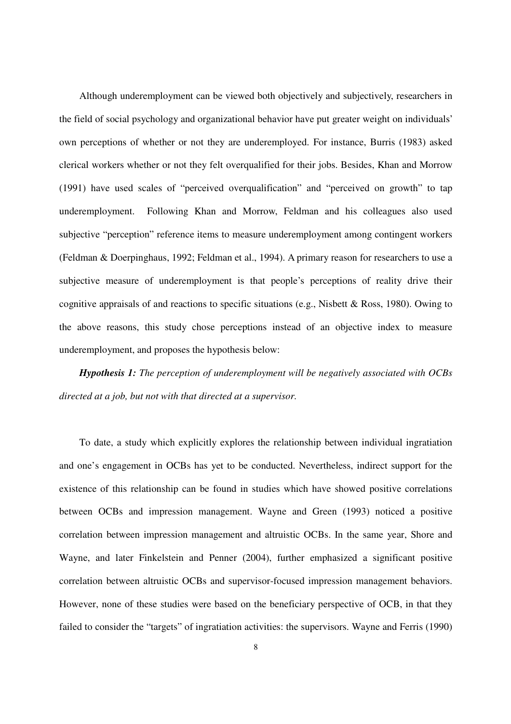Although underemployment can be viewed both objectively and subjectively, researchers in the field of social psychology and organizational behavior have put greater weight on individuals' own perceptions of whether or not they are underemployed. For instance, Burris (1983) asked clerical workers whether or not they felt overqualified for their jobs. Besides, Khan and Morrow (1991) have used scales of "perceived overqualification" and "perceived on growth" to tap underemployment. Following Khan and Morrow, Feldman and his colleagues also used subjective "perception" reference items to measure underemployment among contingent workers (Feldman & Doerpinghaus, 1992; Feldman et al., 1994). A primary reason for researchers to use a subjective measure of underemployment is that people's perceptions of reality drive their cognitive appraisals of and reactions to specific situations (e.g., Nisbett & Ross, 1980). Owing to the above reasons, this study chose perceptions instead of an objective index to measure underemployment, and proposes the hypothesis below:

*Hypothesis 1: The perception of underemployment will be negatively associated with OCBs directed at a job, but not with that directed at a supervisor.* 

To date, a study which explicitly explores the relationship between individual ingratiation and one's engagement in OCBs has yet to be conducted. Nevertheless, indirect support for the existence of this relationship can be found in studies which have showed positive correlations between OCBs and impression management. Wayne and Green (1993) noticed a positive correlation between impression management and altruistic OCBs. In the same year, Shore and Wayne, and later Finkelstein and Penner (2004), further emphasized a significant positive correlation between altruistic OCBs and supervisor-focused impression management behaviors. However, none of these studies were based on the beneficiary perspective of OCB, in that they failed to consider the "targets" of ingratiation activities: the supervisors. Wayne and Ferris (1990)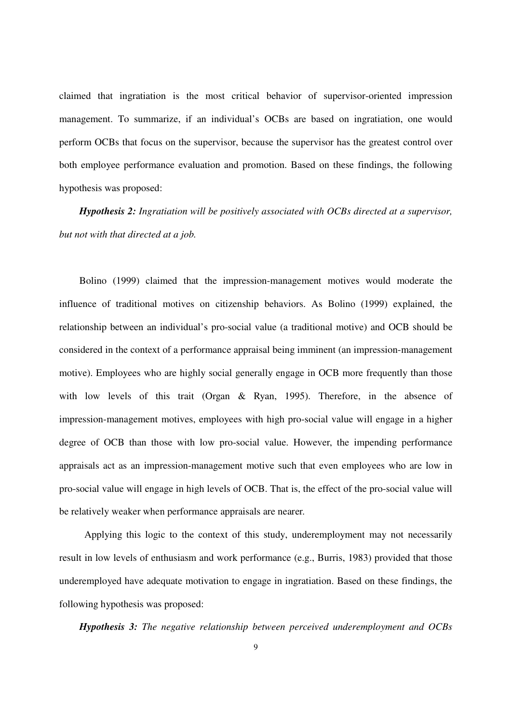claimed that ingratiation is the most critical behavior of supervisor-oriented impression management. To summarize, if an individual's OCBs are based on ingratiation, one would perform OCBs that focus on the supervisor, because the supervisor has the greatest control over both employee performance evaluation and promotion. Based on these findings, the following hypothesis was proposed:

*Hypothesis 2: Ingratiation will be positively associated with OCBs directed at a supervisor, but not with that directed at a job.* 

Bolino (1999) claimed that the impression-management motives would moderate the influence of traditional motives on citizenship behaviors. As Bolino (1999) explained, the relationship between an individual's pro-social value (a traditional motive) and OCB should be considered in the context of a performance appraisal being imminent (an impression-management motive). Employees who are highly social generally engage in OCB more frequently than those with low levels of this trait (Organ & Ryan, 1995). Therefore, in the absence of impression-management motives, employees with high pro-social value will engage in a higher degree of OCB than those with low pro-social value. However, the impending performance appraisals act as an impression-management motive such that even employees who are low in pro-social value will engage in high levels of OCB. That is, the effect of the pro-social value will be relatively weaker when performance appraisals are nearer.

 Applying this logic to the context of this study, underemployment may not necessarily result in low levels of enthusiasm and work performance (e.g., Burris, 1983) provided that those underemployed have adequate motivation to engage in ingratiation. Based on these findings, the following hypothesis was proposed:

*Hypothesis 3: The negative relationship between perceived underemployment and OCBs*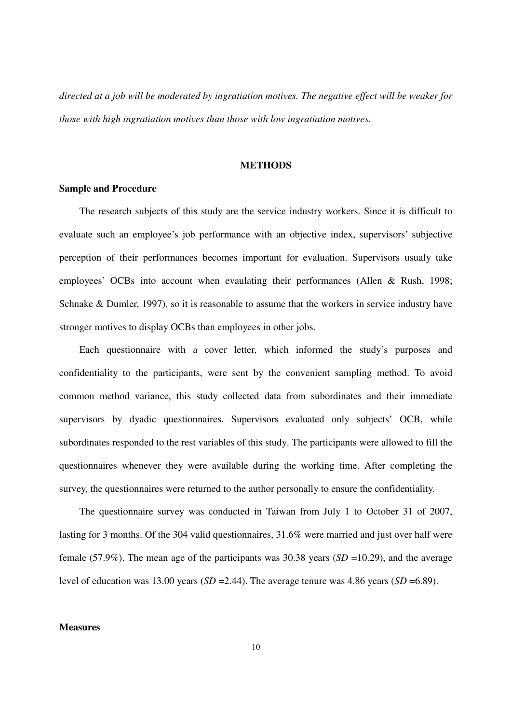*directed at a job will be moderated by ingratiation motives. The negative effect will be weaker for those with high ingratiation motives than those with low ingratiation motives.* 

#### **METHODS**

### **Sample and Procedure**

The research subjects of this study are the service industry workers. Since it is difficult to evaluate such an employee's job performance with an objective index, supervisors' subjective perception of their performances becomes important for evaluation. Supervisors usualy take employees' OCBs into account when evaulating their performances (Allen & Rush, 1998; Schnake & Dumler, 1997), so it is reasonable to assume that the workers in service industry have stronger motives to display OCBs than employees in other jobs.

Each questionnaire with a cover letter, which informed the study's purposes and confidentiality to the participants, were sent by the convenient sampling method. To avoid common method variance, this study collected data from subordinates and their immediate supervisors by dyadic questionnaires. Supervisors evaluated only subjects' OCB, while subordinates responded to the rest variables of this study. The participants were allowed to fill the questionnaires whenever they were available during the working time. After completing the survey, the questionnaires were returned to the author personally to ensure the confidentiality.

The questionnaire survey was conducted in Taiwan from July 1 to October 31 of 2007, lasting for 3 months. Of the 304 valid questionnaires, 31.6% were married and just over half were female (57.9%). The mean age of the participants was 30.38 years (*SD* =10.29), and the average level of education was 13.00 years  $(SD = 2.44)$ . The average tenure was 4.86 years  $(SD = 6.89)$ .

#### **Measures**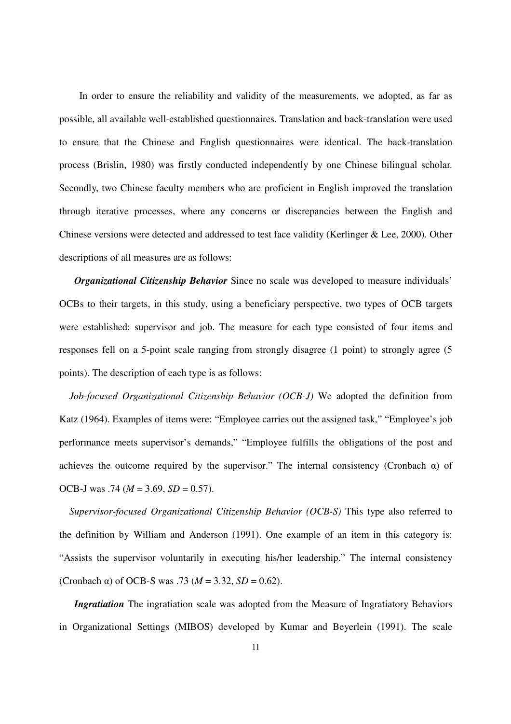In order to ensure the reliability and validity of the measurements, we adopted, as far as possible, all available well-established questionnaires. Translation and back-translation were used to ensure that the Chinese and English questionnaires were identical. The back-translation process (Brislin, 1980) was firstly conducted independently by one Chinese bilingual scholar. Secondly, two Chinese faculty members who are proficient in English improved the translation through iterative processes, where any concerns or discrepancies between the English and Chinese versions were detected and addressed to test face validity (Kerlinger & Lee, 2000). Other descriptions of all measures are as follows:

*Organizational Citizenship Behavior* Since no scale was developed to measure individuals' OCBs to their targets, in this study, using a beneficiary perspective, two types of OCB targets were established: supervisor and job. The measure for each type consisted of four items and responses fell on a 5-point scale ranging from strongly disagree (1 point) to strongly agree (5 points). The description of each type is as follows:

*Job-focused Organizational Citizenship Behavior (OCB-J)* We adopted the definition from Katz (1964). Examples of items were: "Employee carries out the assigned task," "Employee's job performance meets supervisor's demands," "Employee fulfills the obligations of the post and achieves the outcome required by the supervisor." The internal consistency (Cronbach  $\alpha$ ) of OCB-J was .74 (*M* = 3.69, *SD* = 0.57).

*Supervisor-focused Organizational Citizenship Behavior (OCB-S)* This type also referred to the definition by William and Anderson (1991). One example of an item in this category is: "Assists the supervisor voluntarily in executing his/her leadership." The internal consistency (Cronbach  $\alpha$ ) of OCB-S was .73 ( $M = 3.32$ ,  $SD = 0.62$ ).

*Ingratiation* The ingratiation scale was adopted from the Measure of Ingratiatory Behaviors in Organizational Settings (MIBOS) developed by Kumar and Beyerlein (1991). The scale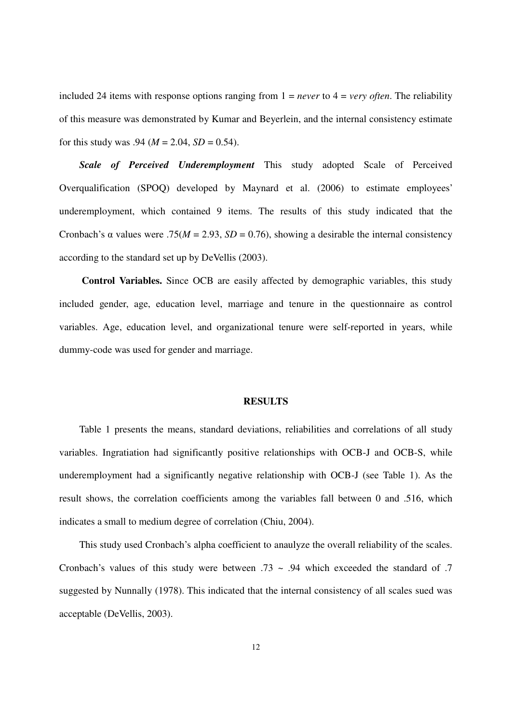included 24 items with response options ranging from 1 = *never* to 4 = *very often*. The reliability of this measure was demonstrated by Kumar and Beyerlein, and the internal consistency estimate for this study was .94 ( $M = 2.04$ ,  $SD = 0.54$ ).

*Scale of Perceived Underemployment* This study adopted Scale of Perceived Overqualification (SPOQ) developed by Maynard et al. (2006) to estimate employees' underemployment, which contained 9 items. The results of this study indicated that the Cronbach's α values were .75( $M = 2.93$ ,  $SD = 0.76$ ), showing a desirable the internal consistency according to the standard set up by DeVellis (2003).

**Control Variables.** Since OCB are easily affected by demographic variables, this study included gender, age, education level, marriage and tenure in the questionnaire as control variables. Age, education level, and organizational tenure were self-reported in years, while dummy-code was used for gender and marriage.

#### **RESULTS**

Table 1 presents the means, standard deviations, reliabilities and correlations of all study variables. Ingratiation had significantly positive relationships with OCB-J and OCB-S, while underemployment had a significantly negative relationship with OCB-J (see Table 1). As the result shows, the correlation coefficients among the variables fall between 0 and .516, which indicates a small to medium degree of correlation (Chiu, 2004).

This study used Cronbach's alpha coefficient to anaulyze the overall reliability of the scales. Cronbach's values of this study were between  $.73 \sim .94$  which exceeded the standard of  $.7$ suggested by Nunnally (1978). This indicated that the internal consistency of all scales sued was acceptable (DeVellis, 2003).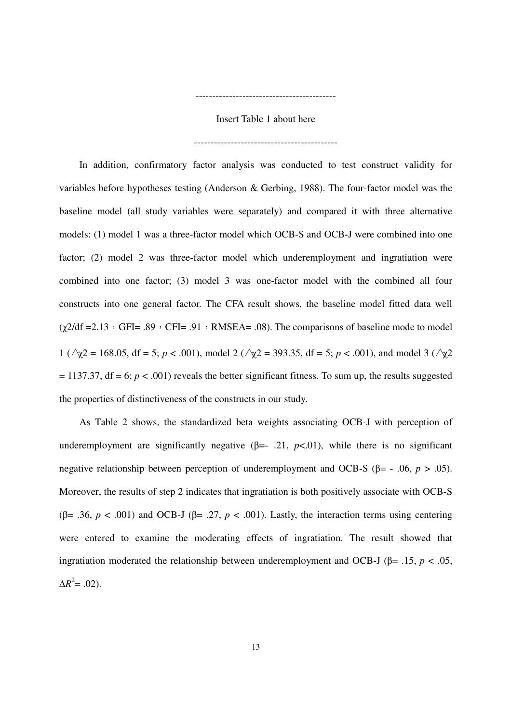Insert Table 1 about here

-------------------------------------------

------------------------------------------

In addition, confirmatory factor analysis was conducted to test construct validity for variables before hypotheses testing (Anderson & Gerbing, 1988). The four-factor model was the baseline model (all study variables were separately) and compared it with three alternative models: (1) model 1 was a three-factor model which OCB-S and OCB-J were combined into one factor; (2) model 2 was three-factor model which underemployment and ingratiation were combined into one factor; (3) model 3 was one-factor model with the combined all four constructs into one general factor. The CFA result shows, the baseline model fitted data well  $(\gamma 2/df = 2.13 \cdot GFI = .89 \cdot CFI = .91 \cdot RMSEA = .08)$ . The comparisons of baseline mode to model 1 ( $\triangle$ χ2 = 168.05, df = 5; *p* < .001), model 2 ( $\triangle$ χ2 = 393.35, df = 5; *p* < .001), and model 3 ( $\triangle$ χ2  $= 1137.37$ , df  $= 6$ ;  $p < .001$ ) reveals the better significant fitness. To sum up, the results suggested the properties of distinctiveness of the constructs in our study.

As Table 2 shows, the standardized beta weights associating OCB-J with perception of underemployment are significantly negative  $(\beta = -0.21, p < 0.01)$ , while there is no significant negative relationship between perception of underemployment and OCB-S ( $\beta$ = - .06, *p* > .05). Moreover, the results of step 2 indicates that ingratiation is both positively associate with OCB-S ( $\beta$ = .36, *p* < .001) and OCB-J ( $\beta$ = .27, *p* < .001). Lastly, the interaction terms using centering were entered to examine the moderating effects of ingratiation. The result showed that ingratiation moderated the relationship between underemployment and OCB-J ( $\beta$ = .15, *p* < .05,  $\Delta R^2 = .02$ ).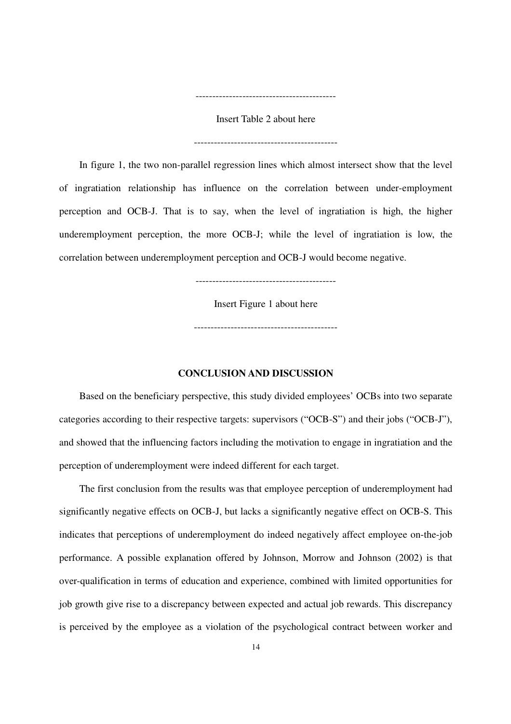Insert Table 2 about here

-------------------------------------------

------------------------------------------

In figure 1, the two non-parallel regression lines which almost intersect show that the level of ingratiation relationship has influence on the correlation between under-employment perception and OCB-J. That is to say, when the level of ingratiation is high, the higher underemployment perception, the more OCB-J; while the level of ingratiation is low, the correlation between underemployment perception and OCB-J would become negative.

------------------------------------------

Insert Figure 1 about here

-------------------------------------------

#### **CONCLUSION AND DISCUSSION**

Based on the beneficiary perspective, this study divided employees' OCBs into two separate categories according to their respective targets: supervisors ("OCB-S") and their jobs ("OCB-J"), and showed that the influencing factors including the motivation to engage in ingratiation and the perception of underemployment were indeed different for each target.

The first conclusion from the results was that employee perception of underemployment had significantly negative effects on OCB-J, but lacks a significantly negative effect on OCB-S. This indicates that perceptions of underemployment do indeed negatively affect employee on-the-job performance. A possible explanation offered by Johnson, Morrow and Johnson (2002) is that over-qualification in terms of education and experience, combined with limited opportunities for job growth give rise to a discrepancy between expected and actual job rewards. This discrepancy is perceived by the employee as a violation of the psychological contract between worker and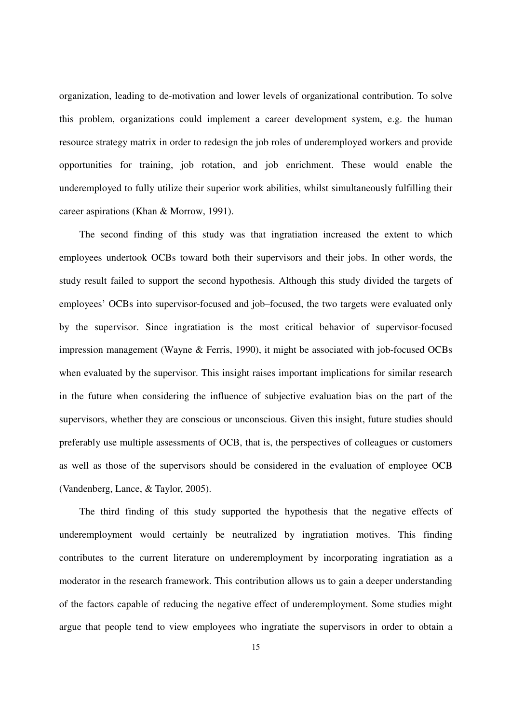organization, leading to de-motivation and lower levels of organizational contribution. To solve this problem, organizations could implement a career development system, e.g. the human resource strategy matrix in order to redesign the job roles of underemployed workers and provide opportunities for training, job rotation, and job enrichment. These would enable the underemployed to fully utilize their superior work abilities, whilst simultaneously fulfilling their career aspirations (Khan & Morrow, 1991).

The second finding of this study was that ingratiation increased the extent to which employees undertook OCBs toward both their supervisors and their jobs. In other words, the study result failed to support the second hypothesis. Although this study divided the targets of employees' OCBs into supervisor-focused and job–focused, the two targets were evaluated only by the supervisor. Since ingratiation is the most critical behavior of supervisor-focused impression management (Wayne & Ferris, 1990), it might be associated with job-focused OCBs when evaluated by the supervisor. This insight raises important implications for similar research in the future when considering the influence of subjective evaluation bias on the part of the supervisors, whether they are conscious or unconscious. Given this insight, future studies should preferably use multiple assessments of OCB, that is, the perspectives of colleagues or customers as well as those of the supervisors should be considered in the evaluation of employee OCB (Vandenberg, Lance, & Taylor, 2005).

The third finding of this study supported the hypothesis that the negative effects of underemployment would certainly be neutralized by ingratiation motives. This finding contributes to the current literature on underemployment by incorporating ingratiation as a moderator in the research framework. This contribution allows us to gain a deeper understanding of the factors capable of reducing the negative effect of underemployment. Some studies might argue that people tend to view employees who ingratiate the supervisors in order to obtain a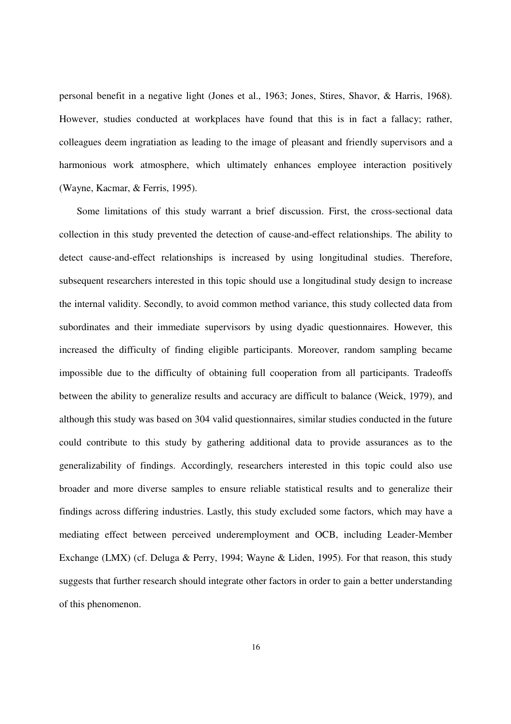personal benefit in a negative light (Jones et al., 1963; Jones, Stires, Shavor, & Harris, 1968). However, studies conducted at workplaces have found that this is in fact a fallacy; rather, colleagues deem ingratiation as leading to the image of pleasant and friendly supervisors and a harmonious work atmosphere, which ultimately enhances employee interaction positively (Wayne, Kacmar, & Ferris, 1995).

Some limitations of this study warrant a brief discussion. First, the cross-sectional data collection in this study prevented the detection of cause-and-effect relationships. The ability to detect cause-and-effect relationships is increased by using longitudinal studies. Therefore, subsequent researchers interested in this topic should use a longitudinal study design to increase the internal validity. Secondly, to avoid common method variance, this study collected data from subordinates and their immediate supervisors by using dyadic questionnaires. However, this increased the difficulty of finding eligible participants. Moreover, random sampling became impossible due to the difficulty of obtaining full cooperation from all participants. Tradeoffs between the ability to generalize results and accuracy are difficult to balance (Weick, 1979), and although this study was based on 304 valid questionnaires, similar studies conducted in the future could contribute to this study by gathering additional data to provide assurances as to the generalizability of findings. Accordingly, researchers interested in this topic could also use broader and more diverse samples to ensure reliable statistical results and to generalize their findings across differing industries. Lastly, this study excluded some factors, which may have a mediating effect between perceived underemployment and OCB, including Leader-Member Exchange (LMX) (cf. Deluga & Perry, 1994; Wayne & Liden, 1995). For that reason, this study suggests that further research should integrate other factors in order to gain a better understanding of this phenomenon.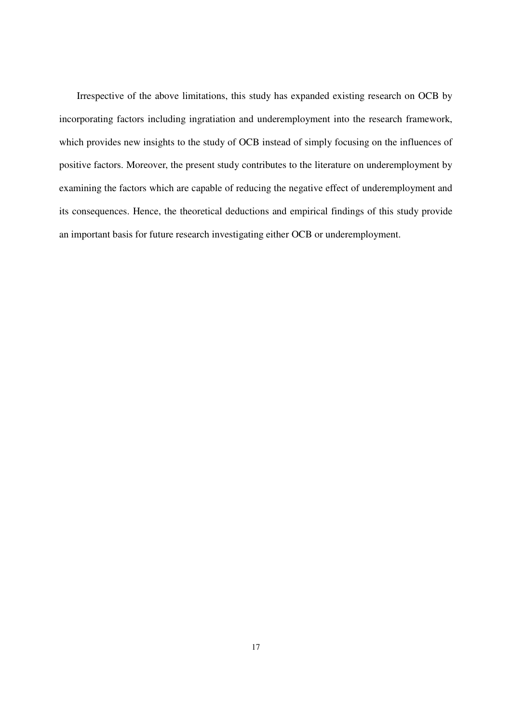Irrespective of the above limitations, this study has expanded existing research on OCB by incorporating factors including ingratiation and underemployment into the research framework, which provides new insights to the study of OCB instead of simply focusing on the influences of positive factors. Moreover, the present study contributes to the literature on underemployment by examining the factors which are capable of reducing the negative effect of underemployment and its consequences. Hence, the theoretical deductions and empirical findings of this study provide an important basis for future research investigating either OCB or underemployment.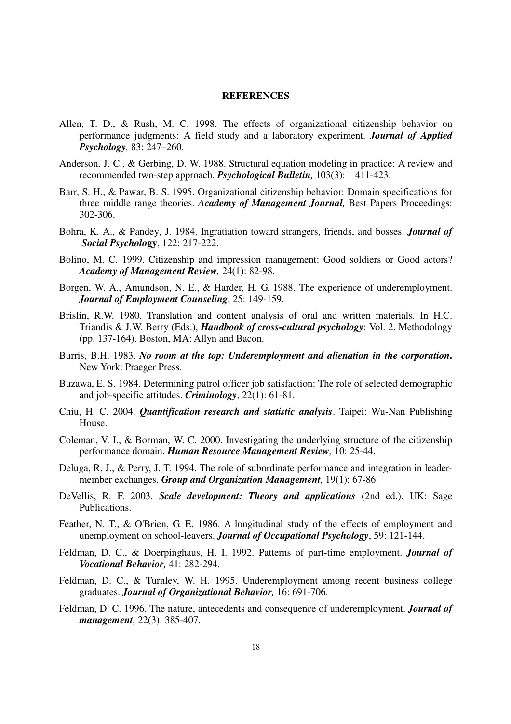#### **REFERENCES**

- Allen, T. D., & Rush, M. C. 1998. The effects of organizational citizenship behavior on performance judgments: A field study and a laboratory experiment. *Journal of Applied Psychology,* 83: 247–260.
- Anderson, J. C., & Gerbing, D. W. 1988. Structural equation modeling in practice: A review and recommended two-step approach. *Psychological Bulletin,* 103(3): 411-423.
- Barr, S. H., & Pawar, B. S. 1995. Organizational citizenship behavior: Domain specifications for three middle range theories. *Academy of Management Journal,* Best Papers Proceedings: 302-306.
- Bohra, K. A., & Pandey, J. 1984. Ingratiation toward strangers, friends, and bosses. *Journal of Social Psycholo***gy**, 122: 217-222.
- Bolino, M. C. 1999. Citizenship and impression management: Good soldiers or Good actors? *Academy of Management Review,* 24(1): 82-98.
- Borgen, W. A., Amundson, N. E., & Harder, H. G. 1988. The experience of underemployment. *Journal of Employment Counseling*, 25: 149-159.
- Brislin, R.W. 1980. Translation and content analysis of oral and written materials. In H.C. Triandis & J.W. Berry (Eds.), *Handbook of cross-cultural psychology*: Vol. 2. Methodology (pp. 137-164). Boston, MA: Allyn and Bacon.
- Burris, B.H. 1983. *No room at the top: Underemployment and alienation in the corporation***.** New York: Praeger Press.
- Buzawa, E. S. 1984. Determining patrol officer job satisfaction: The role of selected demographic and job-specific attitudes. *Criminology*, 22(1): 61-81.
- Chiu, H. C. 2004. *Quantification research and statistic analysis*. Taipei: Wu-Nan Publishing House.
- Coleman, V. I., & Borman, W. C. 2000. Investigating the underlying structure of the citizenship performance domain. *Human Resource Management Review,* 10: 25-44.
- Deluga, R. J., & Perry, J. T. 1994. The role of subordinate performance and integration in leadermember exchanges. *Group and Organization Management,* 19(1): 67-86.
- DeVellis, R. F. 2003. *Scale development: Theory and applications* (2nd ed.). UK: Sage Publications.
- Feather, N. T., & O'Brien, G. E. 1986. A longitudinal study of the effects of employment and unemployment on school-leavers. *Journal of Occupational Psychology*, 59: 121-144.
- Feldman, D. C., & Doerpinghaus, H. I. 1992. Patterns of part-time employment. *Journal of Vocational Behavior,* 41: 282-294.
- Feldman, D. C., & Turnley, W. H. 1995. Underemployment among recent business college graduates. *Journal of Organizational Behavior,* 16: 691-706.
- Feldman, D. C. 1996. The nature, antecedents and consequence of underemployment. *Journal of management,* 22(3): 385-407.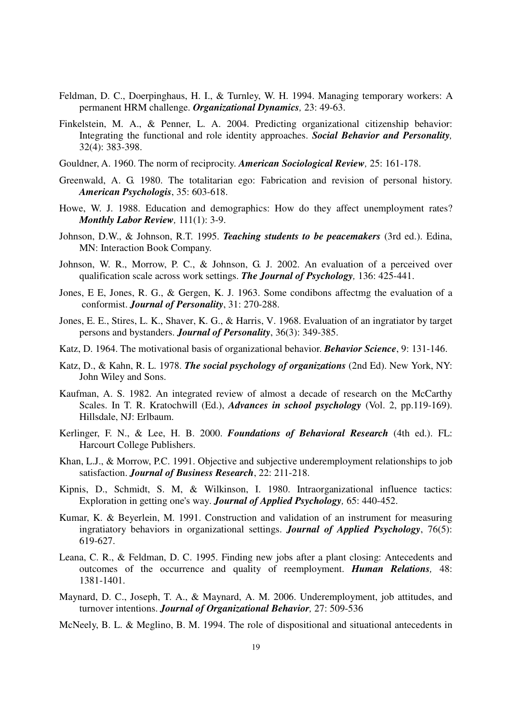- Feldman, D. C., Doerpinghaus, H. I., & Turnley, W. H. 1994. Managing temporary workers: A permanent HRM challenge. *Organizational Dynamics,* 23: 49-63.
- Finkelstein, M. A., & Penner, L. A. 2004. Predicting organizational citizenship behavior: Integrating the functional and role identity approaches. *Social Behavior and Personality,* 32(4): 383-398.
- Gouldner, A. 1960. The norm of reciprocity. *American Sociological Review,* 25: 161-178.
- Greenwald, A. G. 1980. The totalitarian ego: Fabrication and revision of personal history. *American Psychologis*, 35: 603-618.
- Howe, W. J. 1988. Education and demographics: How do they affect unemployment rates? *Monthly Labor Review,* 111(1): 3-9.
- Johnson, D.W., & Johnson, R.T. 1995. *Teaching students to be peacemakers* (3rd ed.). Edina, MN: Interaction Book Company.
- Johnson, W. R., Morrow, P. C., & Johnson, G. J. 2002. An evaluation of a perceived over qualification scale across work settings. *The Journal of Psychology,* 136: 425-441.
- Jones, E E, Jones, R. G., & Gergen, K. J. 1963. Some condibons affectmg the evaluation of a conformist. *Journal of Personality*, 31: 270-288.
- Jones, E. E., Stires, L. K., Shaver, K. G., & Harris, V. 1968. Evaluation of an ingratiator by target persons and bystanders. *Journal of Personality*, 36(3): 349-385.
- Katz, D. 1964. The motivational basis of organizational behavior. *Behavior Science*, 9: 131-146.
- Katz, D., & Kahn, R. L. 1978. *The social psychology of organizations* (2nd Ed). New York, NY: John Wiley and Sons.
- Kaufman, A. S. 1982. An integrated review of almost a decade of research on the McCarthy Scales. In T. R. Kratochwill (Ed.), *Advances in school psychology* (Vol. 2, pp.119-169). Hillsdale, NJ: Erlbaum.
- Kerlinger, F. N., & Lee, H. B. 2000. *Foundations of Behavioral Research* (4th ed.). FL: Harcourt College Publishers.
- Khan, L.J., & Morrow, P.C. 1991. Objective and subjective underemployment relationships to job satisfaction. *Journal of Business Research*, 22: 211-218.
- Kipnis, D., Schmidt, S. M, & Wilkinson, I. 1980. Intraorganizational influence tactics: Exploration in getting one's way. *Journal of Applied Psychology,* 65: 440-452.
- Kumar, K. & Beyerlein, M. 1991. Construction and validation of an instrument for measuring ingratiatory behaviors in organizational settings. *Journal of Applied Psychology*, 76(5): 619-627.
- Leana, C. R., & Feldman, D. C. 1995. Finding new jobs after a plant closing: Antecedents and outcomes of the occurrence and quality of reemployment. *Human Relations,* 48: 1381-1401.
- Maynard, D. C., Joseph, T. A., & Maynard, A. M. 2006. Underemployment, job attitudes, and turnover intentions. *Journal of Organizational Behavior,* 27: 509-536
- McNeely, B. L. & Meglino, B. M. 1994. The role of dispositional and situational antecedents in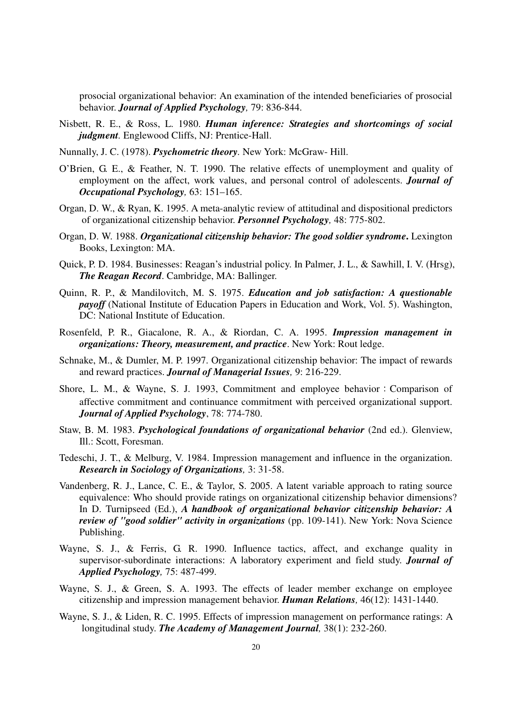prosocial organizational behavior: An examination of the intended beneficiaries of prosocial behavior. *Journal of Applied Psychology,* 79: 836-844.

- Nisbett, R. E., & Ross, L. 1980. *Human inference: Strategies and shortcomings of social judgment*. Englewood Cliffs, NJ: Prentice-Hall.
- Nunnally, J. C. (1978). *Psychometric theory.* New York: McGraw- Hill.
- O'Brien, G. E., & Feather, N. T. 1990. The relative effects of unemployment and quality of employment on the affect, work values, and personal control of adolescents. *Journal of Occupational Psychology,* 63: 151–165.
- Organ, D. W., & Ryan, K. 1995. A meta-analytic review of attitudinal and dispositional predictors of organizational citizenship behavior. *Personnel Psychology,* 48: 775-802.
- Organ, D. W. 1988. *Organizational citizenship behavior: The good soldier syndrome***.** Lexington Books, Lexington: MA.
- Quick, P. D. 1984. Businesses: Reagan's industrial policy. In Palmer, J. L., & Sawhill, I. V. (Hrsg), *The Reagan Record*. Cambridge, MA: Ballinger.
- Quinn, R. P., & Mandilovitch, M. S. 1975. *Education and job satisfaction: A questionable payoff* (National Institute of Education Papers in Education and Work, Vol. 5). Washington, DC: National Institute of Education.
- Rosenfeld, P. R., Giacalone, R. A., & Riordan, C. A. 1995. *Impression management in organizations: Theory, measurement, and practice*. New York: Rout ledge.
- Schnake, M., & Dumler, M. P. 1997. Organizational citizenship behavior: The impact of rewards and reward practices. *Journal of Managerial Issues,* 9: 216-229.
- Shore, L. M., & Wayne, S. J. 1993, Commitment and employee behavior: Comparison of affective commitment and continuance commitment with perceived organizational support. *Journal of Applied Psychology*, 78: 774-780.
- Staw, B. M. 1983. *Psychological foundations of organizational behavior* (2nd ed.). Glenview, Ill.: Scott, Foresman.
- Tedeschi, J. T., & Melburg, V. 1984. Impression management and influence in the organization. *Research in Sociology of Organizations,* 3: 31-58.
- Vandenberg, R. J., Lance, C. E., & Taylor, S. 2005. A latent variable approach to rating source equivalence: Who should provide ratings on organizational citizenship behavior dimensions? In D. Turnipseed (Ed.), *A handbook of organizational behavior citizenship behavior: A review of "good soldier" activity in organizations* (pp. 109-141). New York: Nova Science Publishing.
- Wayne, S. J., & Ferris, G. R. 1990. Influence tactics, affect, and exchange quality in supervisor-subordinate interactions: A laboratory experiment and field study. *Journal of Applied Psychology,* 75: 487-499.
- Wayne, S. J., & Green, S. A. 1993. The effects of leader member exchange on employee citizenship and impression management behavior. *Human Relations,* 46(12): 1431-1440.
- Wayne, S. J., & Liden, R. C. 1995. Effects of impression management on performance ratings: A longitudinal study. *The Academy of Management Journal,* 38(1): 232-260.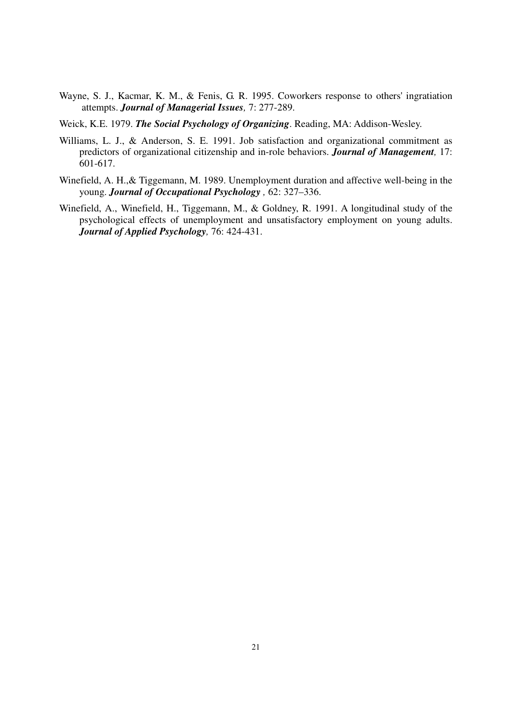- Wayne, S. J., Kacmar, K. M., & Fenis, G. R. 1995. Coworkers response to others' ingratiation attempts. *Journal of Managerial Issues,* 7: 277-289.
- Weick, K.E. 1979. *The Social Psychology of Organizing*. Reading, MA: Addison-Wesley.
- Williams, L. J., & Anderson, S. E. 1991. Job satisfaction and organizational commitment as predictors of organizational citizenship and in-role behaviors. *Journal of Management,* 17: 601-617.
- Winefield, A. H.,& Tiggemann, M. 1989. Unemployment duration and affective well-being in the young. *Journal of Occupational Psychology ,* 62: 327–336.
- Winefield, A., Winefield, H., Tiggemann, M., & Goldney, R. 1991. A longitudinal study of the psychological effects of unemployment and unsatisfactory employment on young adults. *Journal of Applied Psychology,* 76: 424-431.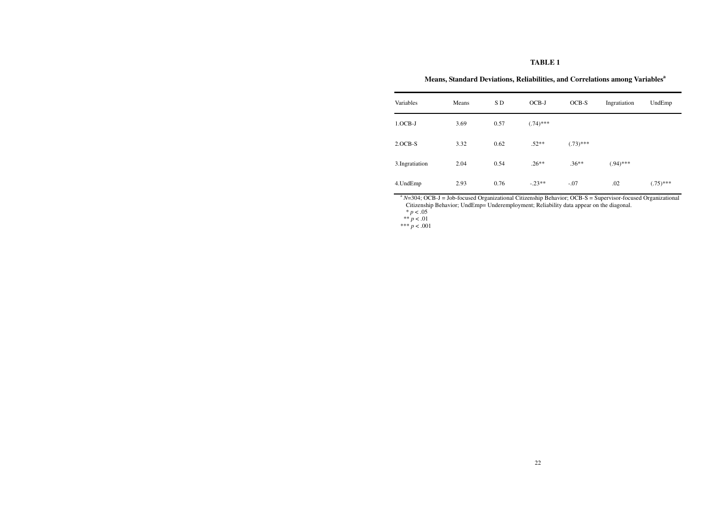## **TABLE 1**

# **Means, Standard Deviations, Reliabilities, and Correlations among Variables<sup>a</sup>**

| Variables      | Means | SD <sub>1</sub> | OCB-J       | $OCB-S$     | Ingratiation | UndEmp      |
|----------------|-------|-----------------|-------------|-------------|--------------|-------------|
| $1.0CB-J$      | 3.69  | 0.57            | $(.74)$ *** |             |              |             |
| $2.0CB-S$      | 3.32  | 0.62            | $.52**$     | $(.73)$ *** |              |             |
| 3.Ingratiation | 2.04  | 0.54            | $.26**$     | $.36**$     | $(.94)$ ***  |             |
| 4.UndEmp       | 2.93  | 0.76            | $-.23**$    | $-.07$      | .02          | $(.75)$ *** |

<sup>a</sup> *N*=304; OCB-J = Job-focused Organizational Citizenship Behavior; OCB-S = Supervisor-focused Organizational Citizenship Behavior; UndEmp= Underemployment; Reliability data appear on the diagonal.  $* p < .05$ <br>\*\*  $p < .01$ <br>\*\*\*  $p < .001$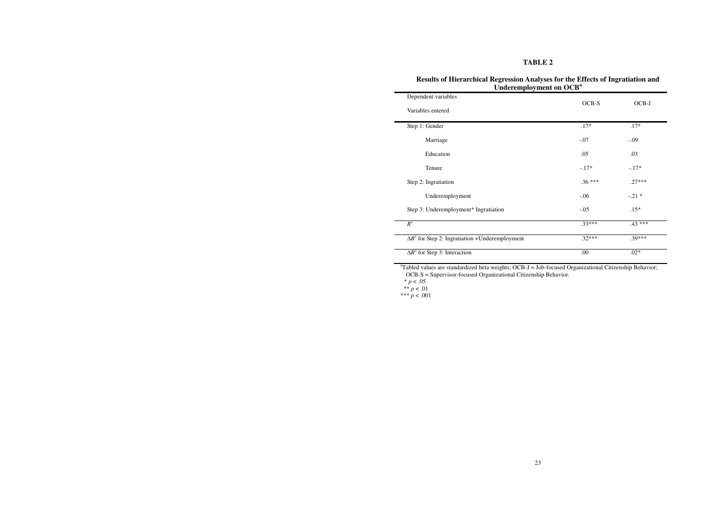# **TABLE 2**

| Dependent variables                                                                                                                                                                   | OCB-S    | OCB-J<br>$.17*$                                  |  |
|---------------------------------------------------------------------------------------------------------------------------------------------------------------------------------------|----------|--------------------------------------------------|--|
| Variables entered                                                                                                                                                                     |          |                                                  |  |
| Step 1: Gender                                                                                                                                                                        | $.17*$   |                                                  |  |
| Marriage                                                                                                                                                                              | $-.07$   | $-.09$<br>.03<br>$-.17*$<br>$.27***$<br>$-.21$ * |  |
| Education                                                                                                                                                                             | .05      |                                                  |  |
| Tenure                                                                                                                                                                                | $-.17*$  |                                                  |  |
| Step 2: Ingratiation                                                                                                                                                                  | $.36***$ |                                                  |  |
| Underemployment                                                                                                                                                                       | $-.06$   |                                                  |  |
| Step 3: Underemployment* Ingratiation                                                                                                                                                 | $-.05$   | $.15*$                                           |  |
| $R^2$                                                                                                                                                                                 | $.33***$ | $.43***$                                         |  |
| $\Delta R^2$ for Step 2: Ingratiation +Underemployment                                                                                                                                | $.32***$ | .39***                                           |  |
| $\Delta R^2$ for Step 3: Interaction                                                                                                                                                  | .00      | $.02*$                                           |  |
| <sup>a</sup> Tabled values are standardized beta weights; OCB-J = Job-focused Organizational Citizenship Behavior;<br>OCB-S = Supervisor-focused Organizational Citizenship Behavior. |          |                                                  |  |